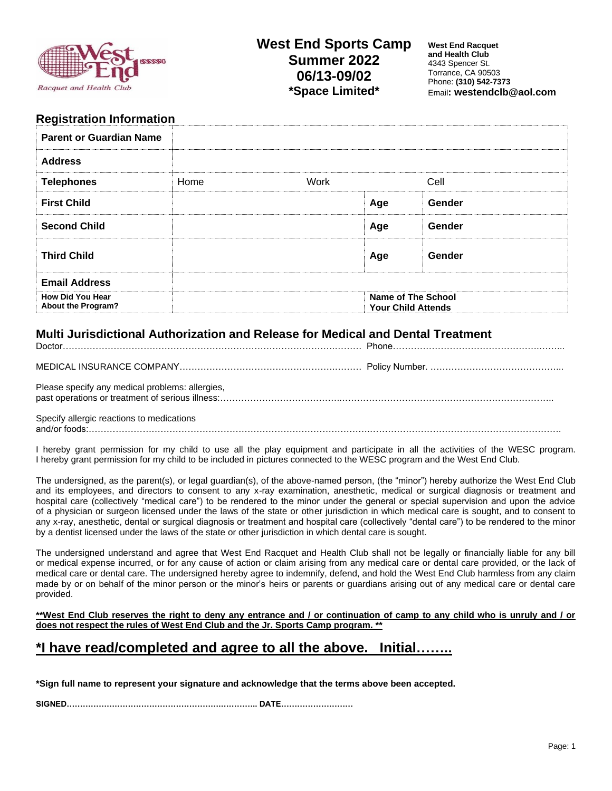

### **West End Sports Camp Summer 2022 06/13-09/02 \*Space Limited\***

**West End Racquet and Health Club** 4343 Spencer St. Torrance, CA 90503 Phone: **(310) 542-7373** Email**: westendclb@aol.com**

#### **Registration Information**

| <b>Parent or Guardian Name</b>                |      |      |                                                        |        |
|-----------------------------------------------|------|------|--------------------------------------------------------|--------|
| <b>Address</b>                                |      |      |                                                        |        |
| <b>Telephones</b>                             | Home | Work |                                                        | Cell   |
| <b>First Child</b>                            |      |      | Age                                                    | Gender |
| <b>Second Child</b>                           |      |      | Age                                                    | Gender |
| <b>Third Child</b>                            |      |      | Age                                                    | Gender |
| <b>Email Address</b>                          |      |      |                                                        |        |
| <b>How Did You Hear</b><br>About the Program? |      |      | <b>Name of The School</b><br><b>Your Child Attends</b> |        |

#### **Multi Jurisdictional Authorization and Release for Medical and Dental Treatment**

| Please specify any medical problems: allergies, |  |
|-------------------------------------------------|--|
| Specify allergic reactions to medications       |  |

and/or foods:………………………………………………………………………………….……………………………………………………….

I hereby grant permission for my child to use all the play equipment and participate in all the activities of the WESC program. I hereby grant permission for my child to be included in pictures connected to the WESC program and the West End Club.

The undersigned, as the parent(s), or legal guardian(s), of the above-named person, (the "minor") hereby authorize the West End Club and its employees, and directors to consent to any x-ray examination, anesthetic, medical or surgical diagnosis or treatment and hospital care (collectively "medical care") to be rendered to the minor under the general or special supervision and upon the advice of a physician or surgeon licensed under the laws of the state or other jurisdiction in which medical care is sought, and to consent to any x-ray, anesthetic, dental or surgical diagnosis or treatment and hospital care (collectively "dental care") to be rendered to the minor by a dentist licensed under the laws of the state or other jurisdiction in which dental care is sought.

The undersigned understand and agree that West End Racquet and Health Club shall not be legally or financially liable for any bill or medical expense incurred, or for any cause of action or claim arising from any medical care or dental care provided, or the lack of medical care or dental care. The undersigned hereby agree to indemnify, defend, and hold the West End Club harmless from any claim made by or on behalf of the minor person or the minor's heirs or parents or guardians arising out of any medical care or dental care provided.

**\*\*West End Club reserves the right to deny any entrance and / or continuation of camp to any child who is unruly and / or does not respect the rules of West End Club and the Jr. Sports Camp program. \*\***

# **\*I have read/completed and agree to all the above. Initial……..**

**\*Sign full name to represent your signature and acknowledge that the terms above been accepted.**

**SIGNED………………………………………………….………….. DATE………………………**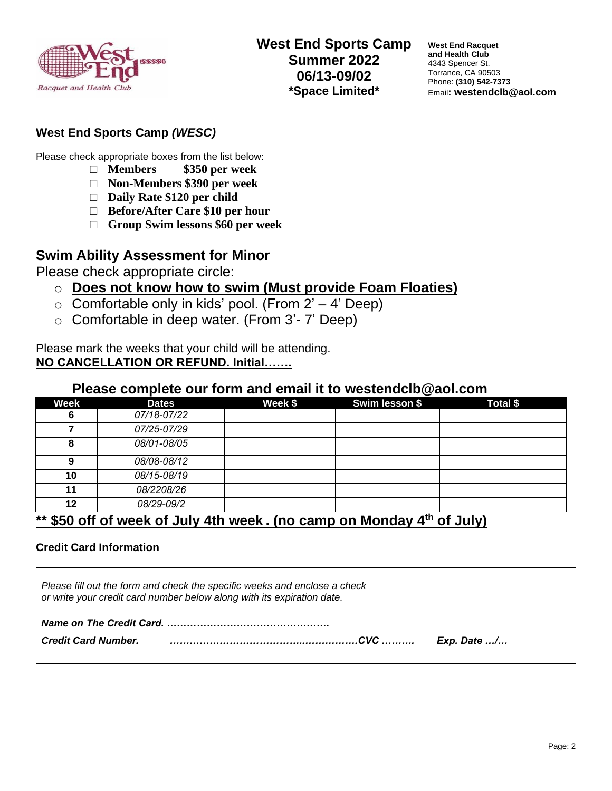

**West End Racquet and Health Club** 4343 Spencer St. Torrance, CA 90503 Phone: **(310) 542-7373** Email**: westendclb@aol.com**

### **West End Sports Camp** *(WESC)*

Please check appropriate boxes from the list below:

- □ **Members \$350 per week**
- □ **Non-Members \$390 per week**
- □ **Daily Rate \$120 per child**
- □ **Before/After Care \$10 per hour**
- □ **Group Swim lessons \$60 per week**

# **Swim Ability Assessment for Minor**

Please check appropriate circle:

- o **Does not know how to swim (Must provide Foam Floaties)**
- $\circ$  Comfortable only in kids' pool. (From 2' 4' Deep)
- o Comfortable in deep water. (From 3'- 7' Deep)

Please mark the weeks that your child will be attending. **NO CANCELLATION OR REFUND. Initial…….**

#### **Please complete our form and email it to westendclb@aol.com**

| Week                                                                     | <b>Dates</b> | Week \$ | Swim lesson \$ | <b>Total \$</b> |
|--------------------------------------------------------------------------|--------------|---------|----------------|-----------------|
| 6                                                                        | 07/18-07/22  |         |                |                 |
|                                                                          | 07/25-07/29  |         |                |                 |
| 8                                                                        | 08/01-08/05  |         |                |                 |
| 9                                                                        | 08/08-08/12  |         |                |                 |
| 10                                                                       | 08/15-08/19  |         |                |                 |
| 11                                                                       | 08/2208/26   |         |                |                 |
| 12                                                                       | 08/29-09/2   |         |                |                 |
| $*$ CCO off of users of light 4th users for compare Members 4th of light |              |         |                |                 |

## **\*\* \$50 off of week of July 4th week . (no camp on Monday 4 th of July)**

#### **Credit Card Information**

| Please fill out the form and check the specific weeks and enclose a check<br>or write your credit card number below along with its expiration date. |  |  |  |  |
|-----------------------------------------------------------------------------------------------------------------------------------------------------|--|--|--|--|
|                                                                                                                                                     |  |  |  |  |
| <b>Credit Card Number.</b>                                                                                                                          |  |  |  |  |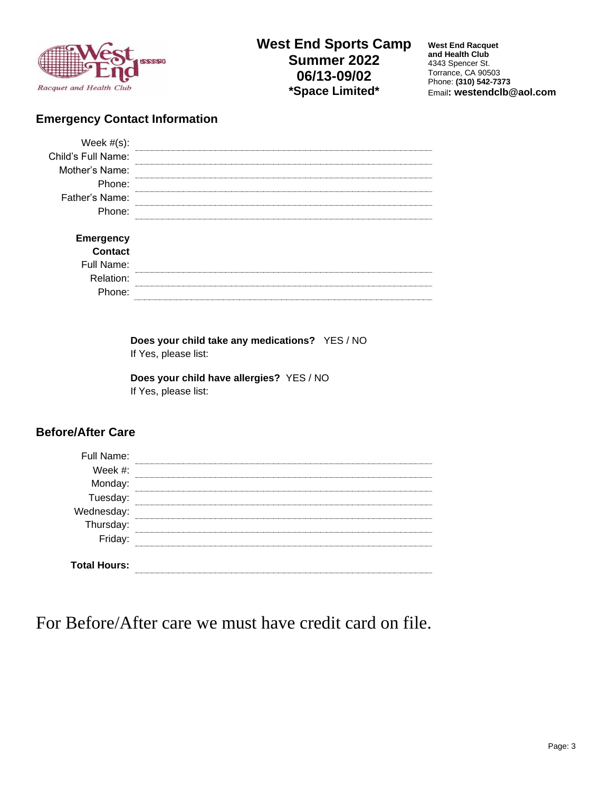

# **West End Sports Camp Summer 2022 06/13-09/02 \*Space Limited\***

**West End Racquet and Health Club** 4343 Spencer St. Torrance, CA 90503 Phone: **(310) 542-7373** Email**: westendclb@aol.com**

### **Emergency Contact Information**

| Week $#(s)$ :      |  |
|--------------------|--|
| Child's Full Name: |  |
| Mother's Name:     |  |
| Phone:             |  |
| Father's Name:     |  |
| Phone:             |  |
|                    |  |
| <b>Emergency</b>   |  |
| <b>Contact</b>     |  |
| Full Name:         |  |
| Relation:          |  |
| Phone:             |  |
|                    |  |

**Does your child take any medications?** YES / NO If Yes, please list:

**Does your child have allergies?** YES / NO If Yes, please list:

#### **Before/After Care**

| Full Name:                          |  |
|-------------------------------------|--|
| Week $#$ :                          |  |
| Monday:<br>-                        |  |
| Tuesday:<br>Wednesday:<br>Thursday: |  |
|                                     |  |
|                                     |  |
| Friday:                             |  |
|                                     |  |
| <b>Total Hours:</b>                 |  |

For Before/After care we must have credit card on file.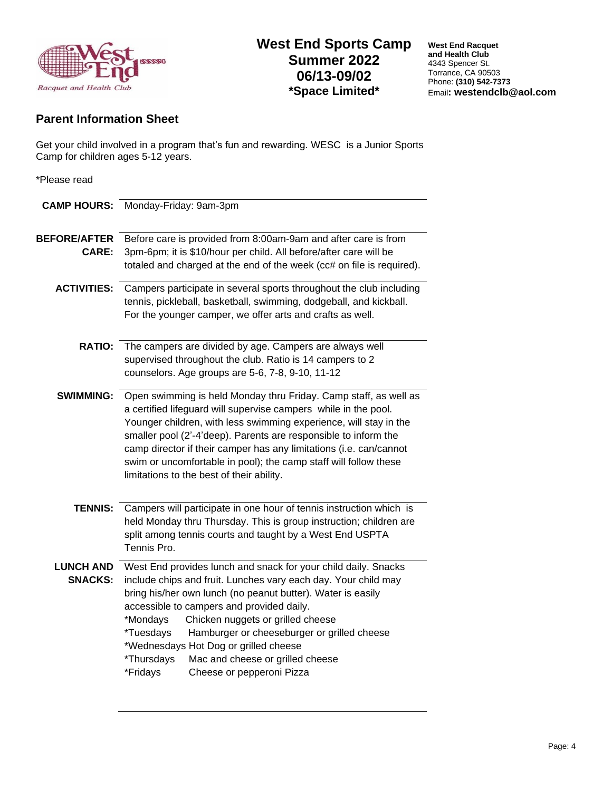

**West End Racquet and Health Club** 4343 Spencer St. Torrance, CA 90503 Phone: **(310) 542-7373** Email**: westendclb@aol.com**

# **Parent Information Sheet**

Get your child involved in a program that's fun and rewarding. WESC is a Junior Sports Camp for children ages 5-12 years.

| *Please read                        |                                                                                                                                                                                                                                                                                                                                                                                                                                                                                               |
|-------------------------------------|-----------------------------------------------------------------------------------------------------------------------------------------------------------------------------------------------------------------------------------------------------------------------------------------------------------------------------------------------------------------------------------------------------------------------------------------------------------------------------------------------|
|                                     | <b>CAMP HOURS:</b> Monday-Friday: 9am-3pm                                                                                                                                                                                                                                                                                                                                                                                                                                                     |
| <b>BEFORE/AFTER</b><br><b>CARE:</b> | Before care is provided from 8:00am-9am and after care is from<br>3pm-6pm; it is \$10/hour per child. All before/after care will be<br>totaled and charged at the end of the week (cc# on file is required).                                                                                                                                                                                                                                                                                  |
| <b>ACTIVITIES:</b>                  | Campers participate in several sports throughout the club including<br>tennis, pickleball, basketball, swimming, dodgeball, and kickball.<br>For the younger camper, we offer arts and crafts as well.                                                                                                                                                                                                                                                                                        |
| <b>RATIO:</b>                       | The campers are divided by age. Campers are always well<br>supervised throughout the club. Ratio is 14 campers to 2<br>counselors. Age groups are 5-6, 7-8, 9-10, 11-12                                                                                                                                                                                                                                                                                                                       |
| <b>SWIMMING:</b>                    | Open swimming is held Monday thru Friday. Camp staff, as well as<br>a certified lifeguard will supervise campers while in the pool.<br>Younger children, with less swimming experience, will stay in the<br>smaller pool (2'-4'deep). Parents are responsible to inform the<br>camp director if their camper has any limitations (i.e. can/cannot<br>swim or uncomfortable in pool); the camp staff will follow these<br>limitations to the best of their ability.                            |
| <b>TENNIS:</b>                      | Campers will participate in one hour of tennis instruction which is<br>held Monday thru Thursday. This is group instruction; children are<br>split among tennis courts and taught by a West End USPTA<br>Tennis Pro.                                                                                                                                                                                                                                                                          |
| <b>LUNCH AND</b><br><b>SNACKS:</b>  | West End provides lunch and snack for your child daily. Snacks<br>include chips and fruit. Lunches vary each day. Your child may<br>bring his/her own lunch (no peanut butter). Water is easily<br>accessible to campers and provided daily.<br>*Mondays<br>Chicken nuggets or grilled cheese<br>*Tuesdays<br>Hamburger or cheeseburger or grilled cheese<br>*Wednesdays Hot Dog or grilled cheese<br>*Thursdays<br>Mac and cheese or grilled cheese<br>*Fridays<br>Cheese or pepperoni Pizza |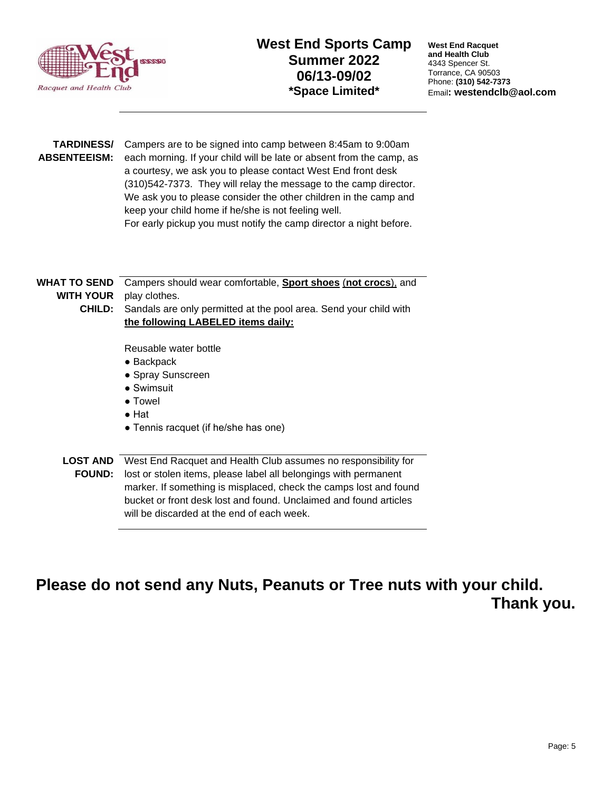

**TARDINESS/** Campers are to be signed into camp between 8:45am to 9:00am ABSENTEEISM: each morning. If your child will be late or absent from the camp, as a courtesy, we ask you to please contact West End front desk (310)542-7373. They will relay the message to the camp director. We ask you to please consider the other children in the camp and keep your child home if he/she is not feeling well. For early pickup you must notify the camp director a night before.

**WHAT TO SEND WITH YOUR CHILD:** Campers should wear comfortable, **Sport shoes** (**not crocs**), and play clothes. Sandals are only permitted at the pool area. Send your child with **the following LABELED items daily:** Reusable water bottle ● Backpack ● Spray Sunscreen ● Swimsuit

- Towel
- Hat
- Tennis racquet (if he/she has one)

**LOST AND**  West End Racquet and Health Club assumes no responsibility for FOUND: lost or stolen items, please label all belongings with permanent marker. If something is misplaced, check the camps lost and found bucket or front desk lost and found. Unclaimed and found articles will be discarded at the end of each week.

# **Please do not send any Nuts, Peanuts or Tree nuts with your child. Thank you.**